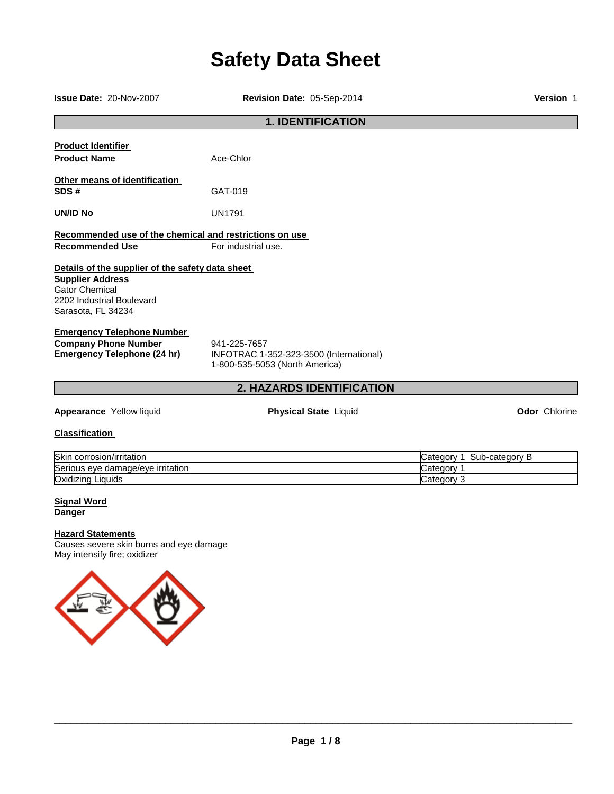# **Safety Data Sheet**

**Issue Date:** 20-Nov-2007 **Revision Date:** 05-Sep-2014 **Version** 1

# **1. IDENTIFICATION Product Identifier Product Name** Ace-Chlor **Other means of identification SDS #** GAT-019 **UN/ID No** UN1791 **Recommended use of the chemical and restrictions on use Recommended Use For industrial use. Details of the supplier of the safety data sheet Supplier Address** Gator Chemical 2202 Industrial Boulevard Sarasota, FL 34234 **Emergency Telephone Number Company Phone Number** 941-225-7657<br>**Emergency Telephone (24 hr)** INFOTRAC 1-**Emergency Telephone (24 hr)** INFOTRAC 1-352-323-3500 (International) 1-800-535-5053 (North America) **2. HAZARDS IDENTIFICATION**

**Appearance** Yellow liquid **Physical State** Liquid **Odor** Chlorine

# **Classification**

| Skin<br>corrosion/irritation      | Sub-categorv<br>∵ategor |
|-----------------------------------|-------------------------|
| Serious eye damage/eye irritation | ∵ategorٽ                |
| Oxidizing<br>Liquids              | Categor                 |

# **Signal Word Danger**

# **Hazard Statements**

Causes severe skin burns and eye damage May intensify fire; oxidizer

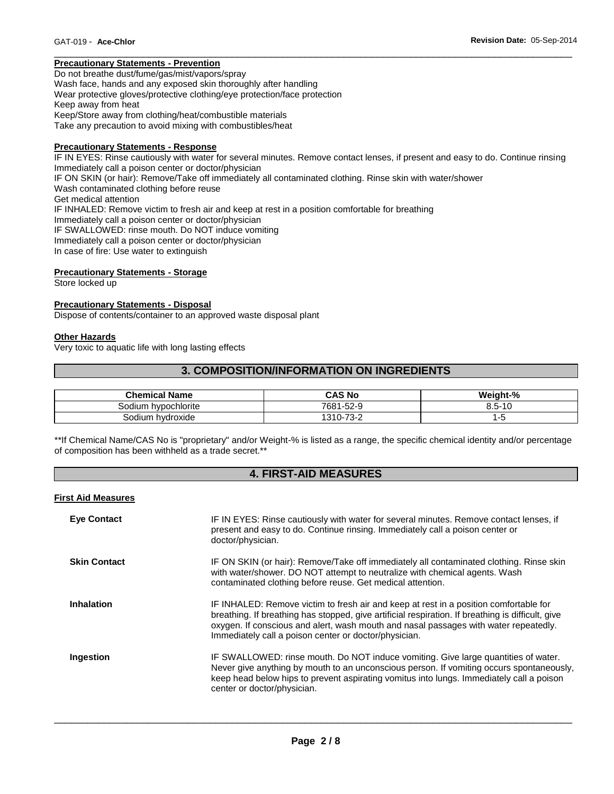# **Precautionary Statements - Prevention**

Do not breathe dust/fume/gas/mist/vapors/spray Wash face, hands and any exposed skin thoroughly after handling Wear protective gloves/protective clothing/eye protection/face protection Keep away from heat Keep/Store away from clothing/heat/combustible materials Take any precaution to avoid mixing with combustibles/heat

#### **Precautionary Statements - Response**

IF IN EYES: Rinse cautiously with water for several minutes. Remove contact lenses, if present and easy to do. Continue rinsing Immediately call a poison center or doctor/physician IF ON SKIN (or hair): Remove/Take off immediately all contaminated clothing. Rinse skin with water/shower Wash contaminated clothing before reuse Get medical attention IF INHALED: Remove victim to fresh air and keep at rest in a position comfortable for breathing Immediately call a poison center or doctor/physician IF SWALLOWED: rinse mouth. Do NOT induce vomiting Immediately call a poison center or doctor/physician In case of fire: Use water to extinguish

\_\_\_\_\_\_\_\_\_\_\_\_\_\_\_\_\_\_\_\_\_\_\_\_\_\_\_\_\_\_\_\_\_\_\_\_\_\_\_\_\_\_\_\_\_\_\_\_\_\_\_\_\_\_\_\_\_\_\_\_\_\_\_\_\_\_\_\_\_\_\_\_\_\_\_\_\_\_\_\_\_\_\_\_\_\_\_\_\_\_\_\_\_

## **Precautionary Statements - Storage**

Store locked up

# **Precautionary Statements - Disposal**

Dispose of contents/container to an approved waste disposal plant

#### **Other Hazards**

Very toxic to aquatic life with long lasting effects

# **3. COMPOSITION/INFORMATION ON INGREDIENTS**

| <b>Chemical Name</b>   | CAS No                         | Weight-%                    |
|------------------------|--------------------------------|-----------------------------|
| hypochlorite<br>odiumد | 7681<br>$-52-9$                | $-$<br>$\overline{A}$<br>5. |
| Sodium hvdroxide       | <u>ຳລັດ</u><br>1310-7.<br>ے-ت∨ | ∼                           |

\*\*If Chemical Name/CAS No is "proprietary" and/or Weight-% is listed as a range, the specific chemical identity and/or percentage of composition has been withheld as a trade secret.\*\*

# **4. FIRST-AID MEASURES**

#### **First Aid Measures**

| <b>Eye Contact</b>  | IF IN EYES: Rinse cautiously with water for several minutes. Remove contact lenses, if<br>present and easy to do. Continue rinsing. Immediately call a poison center or<br>doctor/physician.                                                                                                                                                |
|---------------------|---------------------------------------------------------------------------------------------------------------------------------------------------------------------------------------------------------------------------------------------------------------------------------------------------------------------------------------------|
| <b>Skin Contact</b> | IF ON SKIN (or hair): Remove/Take off immediately all contaminated clothing. Rinse skin<br>with water/shower. DO NOT attempt to neutralize with chemical agents. Wash<br>contaminated clothing before reuse. Get medical attention.                                                                                                         |
| <b>Inhalation</b>   | IF INHALED: Remove victim to fresh air and keep at rest in a position comfortable for<br>breathing. If breathing has stopped, give artificial respiration. If breathing is difficult, give<br>oxygen. If conscious and alert, wash mouth and nasal passages with water repeatedly.<br>Immediately call a poison center or doctor/physician. |
| Ingestion           | IF SWALLOWED: rinse mouth. Do NOT induce vomiting. Give large quantities of water.<br>Never give anything by mouth to an unconscious person. If vomiting occurs spontaneously,<br>keep head below hips to prevent aspirating vomitus into lungs. Immediately call a poison<br>center or doctor/physician.                                   |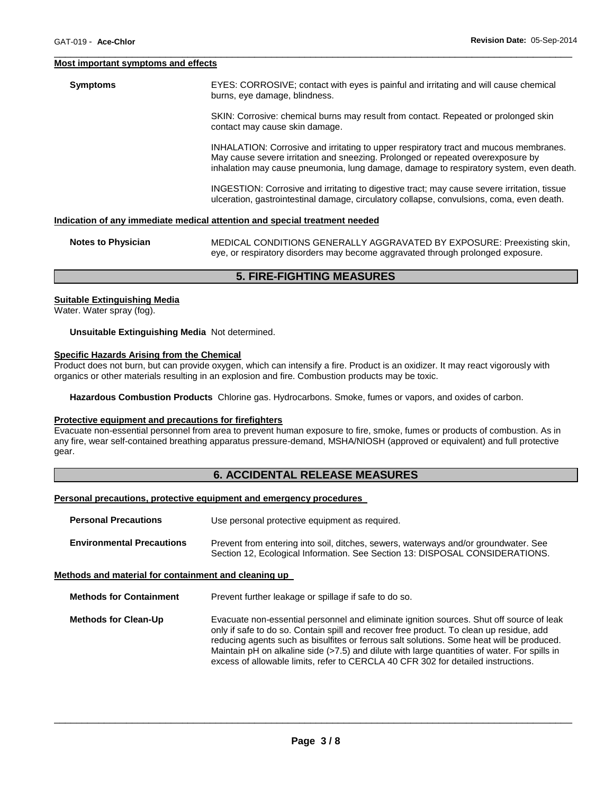#### **Most important symptoms and effects**

**Symptoms** EYES: CORROSIVE; contact with eyes is painful and irritating and will cause chemical burns, eye damage, blindness.

> SKIN: Corrosive: chemical burns may result from contact. Repeated or prolonged skin contact may cause skin damage.

INHALATION: Corrosive and irritating to upper respiratory tract and mucous membranes. May cause severe irritation and sneezing. Prolonged or repeated overexposure by inhalation may cause pneumonia, lung damage, damage to respiratory system, even death.

INGESTION: Corrosive and irritating to digestive tract; may cause severe irritation, tissue ulceration, gastrointestinal damage, circulatory collapse, convulsions, coma, even death.

# **Indication of any immediate medical attention and special treatment needed**

| <b>Notes to Physician</b> | MEDICAL CONDITIONS GENERALLY AGGRAVATED BY EXPOSURE: Preexisting skin,          |  |  |
|---------------------------|---------------------------------------------------------------------------------|--|--|
|                           | eye, or respiratory disorders may become aggravated through prolonged exposure. |  |  |

\_\_\_\_\_\_\_\_\_\_\_\_\_\_\_\_\_\_\_\_\_\_\_\_\_\_\_\_\_\_\_\_\_\_\_\_\_\_\_\_\_\_\_\_\_\_\_\_\_\_\_\_\_\_\_\_\_\_\_\_\_\_\_\_\_\_\_\_\_\_\_\_\_\_\_\_\_\_\_\_\_\_\_\_\_\_\_\_\_\_\_\_\_

# **5. FIRE-FIGHTING MEASURES**

#### **Suitable Extinguishing Media**

Water. Water spray (fog).

**Unsuitable Extinguishing Media** Not determined.

#### **Specific Hazards Arising from the Chemical**

Product does not burn, but can provide oxygen, which can intensify a fire. Product is an oxidizer. It may react vigorously with organics or other materials resulting in an explosion and fire. Combustion products may be toxic.

**Hazardous Combustion Products** Chlorine gas. Hydrocarbons. Smoke, fumes or vapors, and oxides of carbon.

#### **Protective equipment and precautions for firefighters**

Evacuate non-essential personnel from area to prevent human exposure to fire, smoke, fumes or products of combustion. As in any fire, wear self-contained breathing apparatus pressure-demand, MSHA/NIOSH (approved or equivalent) and full protective gear.

# **6. ACCIDENTAL RELEASE MEASURES**

#### **Personal precautions, protective equipment and emergency procedures**

| <b>Personal Precautions</b>      | Use personal protective equipment as required.                                                                                                                      |
|----------------------------------|---------------------------------------------------------------------------------------------------------------------------------------------------------------------|
| <b>Environmental Precautions</b> | Prevent from entering into soil, ditches, sewers, waterways and/or groundwater. See<br>Section 12, Ecological Information. See Section 13: DISPOSAL CONSIDERATIONS. |

## **Methods and material for containment and cleaning up**

**Methods for Containment** Prevent further leakage or spillage if safe to do so.

**Methods for Clean-Up Evacuate non-essential personnel and eliminate ignition sources. Shut off source of leak** only if safe to do so. Contain spill and recover free product. To clean up residue, add reducing agents such as bisulfites or ferrous salt solutions. Some heat will be produced. Maintain pH on alkaline side (>7.5) and dilute with large quantities of water. For spills in excess of allowable limits, refer to CERCLA 40 CFR 302 for detailed instructions.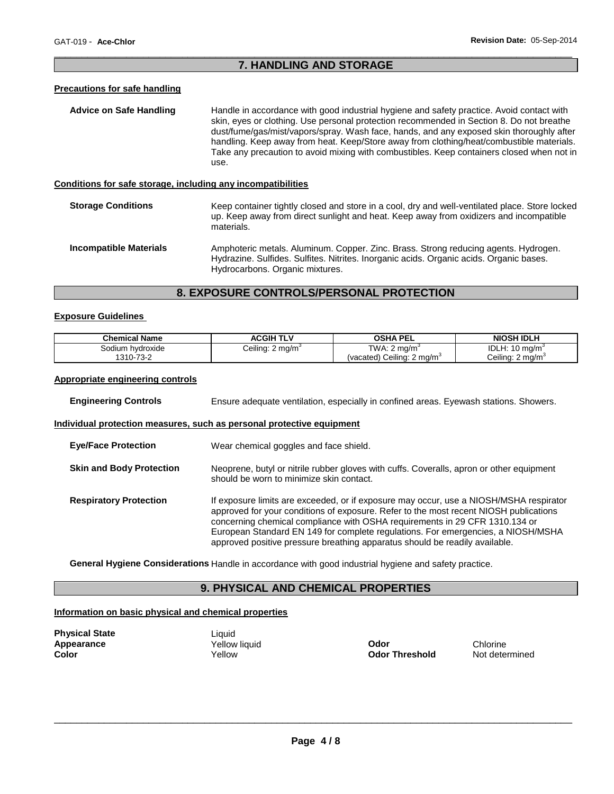# \_\_\_\_\_\_\_\_\_\_\_\_\_\_\_\_\_\_\_\_\_\_\_\_\_\_\_\_\_\_\_\_\_\_\_\_\_\_\_\_\_\_\_\_\_\_\_\_\_\_\_\_\_\_\_\_\_\_\_\_\_\_\_\_\_\_\_\_\_\_\_\_\_\_\_\_\_\_\_\_\_\_\_\_\_\_\_\_\_\_\_\_\_ **7. HANDLING AND STORAGE**

# **Precautions for safe handling**

| Advice on Safe Handling                                      | Handle in accordance with good industrial hygiene and safety practice. Avoid contact with<br>skin, eyes or clothing. Use personal protection recommended in Section 8. Do not breathe<br>dust/fume/gas/mist/vapors/spray. Wash face, hands, and any exposed skin thoroughly after<br>handling. Keep away from heat. Keep/Store away from clothing/heat/combustible materials.<br>Take any precaution to avoid mixing with combustibles. Keep containers closed when not in<br>use. |
|--------------------------------------------------------------|------------------------------------------------------------------------------------------------------------------------------------------------------------------------------------------------------------------------------------------------------------------------------------------------------------------------------------------------------------------------------------------------------------------------------------------------------------------------------------|
| Conditions for safe storage, including any incompatibilities |                                                                                                                                                                                                                                                                                                                                                                                                                                                                                    |
| <b>Storage Conditions</b>                                    | Keep container tightly closed and store in a cool, dry and well-ventilated place. Store locked<br>up. Keep away from direct sunlight and heat. Keep away from oxidizers and incompatible<br>materials.                                                                                                                                                                                                                                                                             |
| <b>Incompatible Materials</b>                                | Amphoteric metals. Aluminum. Copper. Zinc. Brass. Strong reducing agents. Hydrogen.                                                                                                                                                                                                                                                                                                                                                                                                |

# **8. EXPOSURE CONTROLS/PERSONAL PROTECTION**

Hydrocarbons. Organic mixtures.

Hydrazine. Sulfides. Sulfites. Nitrites. Inorganic acids. Organic acids. Organic bases.

# **Exposure Guidelines**

| <b>Chemical Name</b> | <b>ACGIH TLV</b>             | <b>OSHA PEL</b>                        | <b>NIOSH IDLH</b>            |
|----------------------|------------------------------|----------------------------------------|------------------------------|
| Sodium hvdroxide     | Ceiling: 2 mg/m <sup>3</sup> | TWA: $2 \text{ mg/m}^3$                | IDLH: $10 \text{ mg/m}^3$    |
| 1310-73-2            |                              | (vacated) Ceiling: 2 mg/m <sup>3</sup> | Ceiling: 2 mg/m <sup>3</sup> |

# **Appropriate engineering controls**

| <b>Engineering Controls</b>     | Ensure adequate ventilation, especially in confined areas. Eyewash stations. Showers.                                                                                                                                                                                                                                                                                                                                             |  |
|---------------------------------|-----------------------------------------------------------------------------------------------------------------------------------------------------------------------------------------------------------------------------------------------------------------------------------------------------------------------------------------------------------------------------------------------------------------------------------|--|
|                                 | Individual protection measures, such as personal protective equipment                                                                                                                                                                                                                                                                                                                                                             |  |
| <b>Eve/Face Protection</b>      | Wear chemical goggles and face shield.                                                                                                                                                                                                                                                                                                                                                                                            |  |
| <b>Skin and Body Protection</b> | Neoprene, butyl or nitrile rubber gloves with cuffs. Coveralls, apron or other equipment<br>should be worn to minimize skin contact.                                                                                                                                                                                                                                                                                              |  |
| <b>Respiratory Protection</b>   | If exposure limits are exceeded, or if exposure may occur, use a NIOSH/MSHA respirator<br>approved for your conditions of exposure. Refer to the most recent NIOSH publications<br>concerning chemical compliance with OSHA requirements in 29 CFR 1310.134 or<br>European Standard EN 149 for complete regulations. For emergencies, a NIOSH/MSHA<br>approved positive pressure breathing apparatus should be readily available. |  |

**General Hygiene Considerations** Handle in accordance with good industrial hygiene and safety practice.

# **9. PHYSICAL AND CHEMICAL PROPERTIES**

# **Information on basic physical and chemical properties**

| <b>Physical State</b> |  |
|-----------------------|--|
| <b>Appearance</b>     |  |
| Color                 |  |

Liquid

**Applicative Vellow liquid**<br> **Applicative Codor Threshold**<br> **Codor Threshold** Mot determined **Odor Threshold**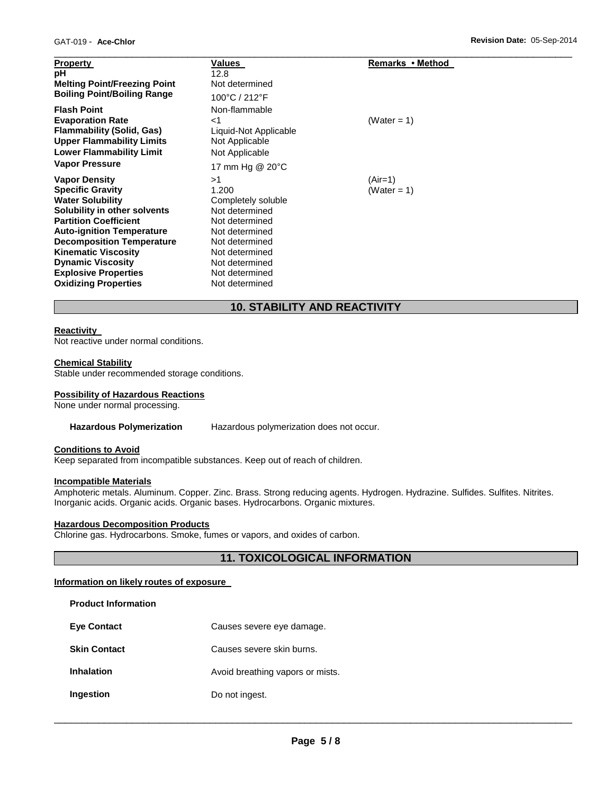| <b>Property</b><br>рH<br><b>Melting Point/Freezing Point</b><br><b>Boiling Point/Boiling Range</b>                                                       | Values<br>12.8<br>Not determined<br>100°C / 212°F                                      | Remarks • Method         |
|----------------------------------------------------------------------------------------------------------------------------------------------------------|----------------------------------------------------------------------------------------|--------------------------|
| <b>Flash Point</b><br><b>Evaporation Rate</b><br>Flammability (Solid, Gas)<br><b>Upper Flammability Limits</b><br><b>Lower Flammability Limit</b>        | Non-flammable<br>$<$ 1<br>Liquid-Not Applicable<br>Not Applicable<br>Not Applicable    | (Water = 1)              |
| <b>Vapor Pressure</b>                                                                                                                                    | 17 mm Hg @ 20°C                                                                        |                          |
| <b>Vapor Density</b><br><b>Specific Gravity</b><br><b>Water Solubility</b>                                                                               | >1<br>1.200<br>Completely soluble                                                      | $(Air=1)$<br>(Water = 1) |
| Solubility in other solvents<br><b>Partition Coefficient</b><br><b>Auto-ignition Temperature</b>                                                         | Not determined<br>Not determined<br>Not determined                                     |                          |
| <b>Decomposition Temperature</b><br><b>Kinematic Viscosity</b><br><b>Dynamic Viscosity</b><br><b>Explosive Properties</b><br><b>Oxidizing Properties</b> | Not determined<br>Not determined<br>Not determined<br>Not determined<br>Not determined |                          |

# **10. STABILITY AND REACTIVITY**

# **Reactivity**

Not reactive under normal conditions.

# **Chemical Stability**

Stable under recommended storage conditions.

# **Possibility of Hazardous Reactions**

None under normal processing.

#### **Hazardous Polymerization** Hazardous polymerization does not occur.

# **Conditions to Avoid**

Keep separated from incompatible substances. Keep out of reach of children.

# **Incompatible Materials**

**Product Information** 

Amphoteric metals. Aluminum. Copper. Zinc. Brass. Strong reducing agents. Hydrogen. Hydrazine. Sulfides. Sulfites. Nitrites. Inorganic acids. Organic acids. Organic bases. Hydrocarbons. Organic mixtures.

# **Hazardous Decomposition Products**

Chlorine gas. Hydrocarbons. Smoke, fumes or vapors, and oxides of carbon.

# **11. TOXICOLOGICAL INFORMATION**

# **Information on likely routes of exposure**

| Causes severe eye damage.        |
|----------------------------------|
| Causes severe skin burns.        |
| Avoid breathing vapors or mists. |
| Do not ingest.                   |
|                                  |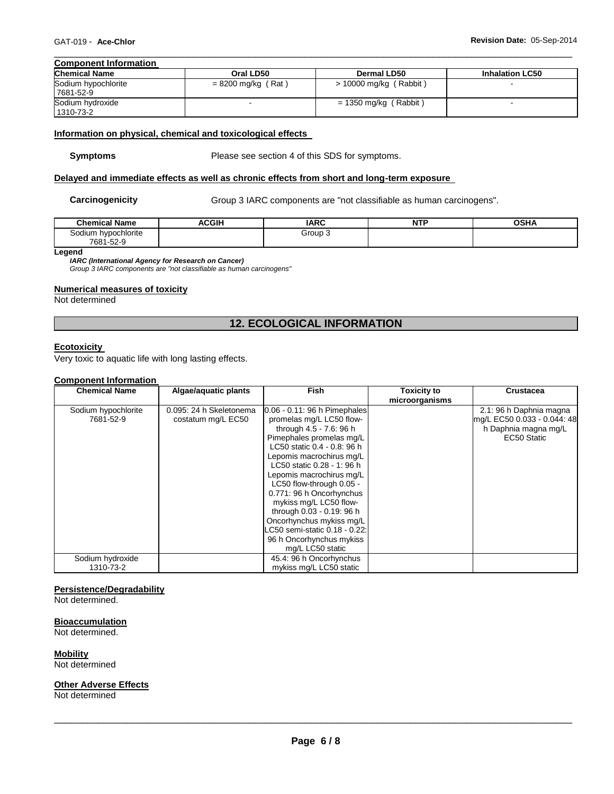#### \_\_\_\_\_\_\_\_\_\_\_\_\_\_\_\_\_\_\_\_\_\_\_\_\_\_\_\_\_\_\_\_\_\_\_\_\_\_\_\_\_\_\_\_\_\_\_\_\_\_\_\_\_\_\_\_\_\_\_\_\_\_\_\_\_\_\_\_\_\_\_\_\_\_\_\_\_\_\_\_\_\_\_\_\_\_\_\_\_\_\_\_\_ **Component Information**

| <b>Chemical Name</b>             | Oral LD50            | <b>Dermal LD50</b>       | <b>Inhalation LC50</b> |
|----------------------------------|----------------------|--------------------------|------------------------|
| Sodium hypochlorite<br>7681-52-9 | $= 8200$ mg/kg (Rat) | $>$ 10000 mg/kg (Rabbit) |                        |
| Sodium hydroxide                 |                      | $= 1350$ mg/kg (Rabbit)  |                        |
| 1310-73-2                        |                      |                          |                        |

# **Information on physical, chemical and toxicological effects**

**Symptoms** Please see section 4 of this SDS for symptoms.

# **Delayed and immediate effects as well as chronic effects from short and long-term exposure**

Carcinogenicity **Group 3 IARC** components are "not classifiable as human carcinogens".

| <b>Chemical Name</b>     | ACGIH<br>A. | <b>IARC</b> | <b>NTP</b><br>. | <b>OSHA</b> |
|--------------------------|-------------|-------------|-----------------|-------------|
| Sodium hypochlorite      |             | Group 3     |                 |             |
| 7004<br>ro c<br>681-52-9 |             |             |                 |             |

**Legend** 

*IARC (International Agency for Research on Cancer)*

*Group 3 IARC components are "not classifiable as human carcinogens"* 

# **Numerical measures of toxicity**

Not determined

# **12. ECOLOGICAL INFORMATION**

# **Ecotoxicity**

Very toxic to aquatic life with long lasting effects.

# **Component Information**

| <b>Chemical Name</b> | Algae/aquatic plants    | <b>Fish</b>                     | <b>Toxicity to</b> | <b>Crustacea</b>            |
|----------------------|-------------------------|---------------------------------|--------------------|-----------------------------|
|                      |                         |                                 | microorganisms     |                             |
| Sodium hypochlorite  | 0.095: 24 h Skeletonema | $0.06 - 0.11$ : 96 h Pimephales |                    | 2.1: 96 h Daphnia magna     |
| 7681-52-9            | costatum mg/L EC50      | promelas mg/L LC50 flow-        |                    | mg/L EC50 0.033 - 0.044: 48 |
|                      |                         | through 4.5 - 7.6: 96 h         |                    | h Daphnia magna mg/L        |
|                      |                         | Pimephales promelas mg/L        |                    | EC50 Static                 |
|                      |                         | LC50 static 0.4 - 0.8: 96 h     |                    |                             |
|                      |                         | Lepomis macrochirus mg/L        |                    |                             |
|                      |                         | LC50 static 0.28 - 1: 96 h      |                    |                             |
|                      |                         | Lepomis macrochirus mg/L        |                    |                             |
|                      |                         | LC50 flow-through 0.05 -        |                    |                             |
|                      |                         | 0.771: 96 h Oncorhynchus        |                    |                             |
|                      |                         | mykiss mg/L LC50 flow-          |                    |                             |
|                      |                         | through 0.03 - 0.19: 96 h       |                    |                             |
|                      |                         | Oncorhynchus mykiss mg/L        |                    |                             |
|                      |                         | LC50 semi-static 0.18 - 0.22:   |                    |                             |
|                      |                         | 96 h Oncorhynchus mykiss        |                    |                             |
|                      |                         | mg/L LC50 static                |                    |                             |
| Sodium hydroxide     |                         | 45.4: 96 h Oncorhynchus         |                    |                             |
| 1310-73-2            |                         | mykiss mg/L LC50 static         |                    |                             |

# **Persistence/Degradability**

Not determined.

#### **Bioaccumulation**

Not determined.

**Mobility**

Not determined

# **Other Adverse Effects**

Not determined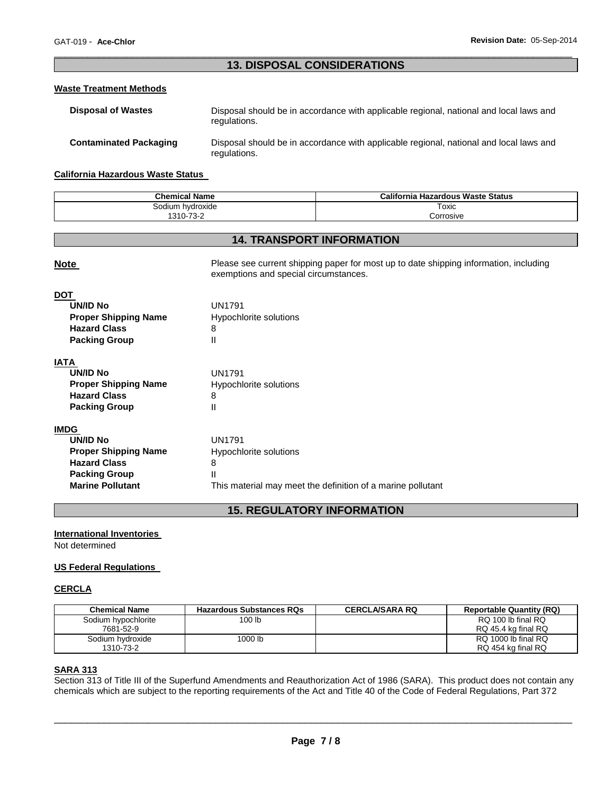# \_\_\_\_\_\_\_\_\_\_\_\_\_\_\_\_\_\_\_\_\_\_\_\_\_\_\_\_\_\_\_\_\_\_\_\_\_\_\_\_\_\_\_\_\_\_\_\_\_\_\_\_\_\_\_\_\_\_\_\_\_\_\_\_\_\_\_\_\_\_\_\_\_\_\_\_\_\_\_\_\_\_\_\_\_\_\_\_\_\_\_\_\_ **13. DISPOSAL CONSIDERATIONS**

# **Waste Treatment Methods**

| <b>Disposal of Wastes</b>     | Disposal should be in accordance with applicable regional, national and local laws and<br>regulations. |
|-------------------------------|--------------------------------------------------------------------------------------------------------|
| <b>Contaminated Packaging</b> | Disposal should be in accordance with applicable regional, national and local laws and<br>regulations. |

## **California Hazardous Waste Status**

| <b>Chemical Name</b> | California Hazardous Waste Status |
|----------------------|-----------------------------------|
| Sodium hvdroxide     | Toxic                             |
| 1310-73-2            | Corrosive                         |

# **14. TRANSPORT INFORMATION**

| Please see current shipping paper for most up to date shipping information, including<br><b>Note</b><br>exemptions and special circumstances. |                                                             |
|-----------------------------------------------------------------------------------------------------------------------------------------------|-------------------------------------------------------------|
| <b>DOT</b>                                                                                                                                    |                                                             |
| <b>UN/ID No</b>                                                                                                                               | <b>UN1791</b>                                               |
| <b>Proper Shipping Name</b>                                                                                                                   | Hypochlorite solutions                                      |
| <b>Hazard Class</b>                                                                                                                           | 8                                                           |
| <b>Packing Group</b>                                                                                                                          | Ш                                                           |
| <b>IATA</b>                                                                                                                                   |                                                             |
| <b>UN/ID No</b>                                                                                                                               | <b>UN1791</b>                                               |
| <b>Proper Shipping Name</b>                                                                                                                   | Hypochlorite solutions                                      |
| <b>Hazard Class</b>                                                                                                                           | 8                                                           |
| <b>Packing Group</b>                                                                                                                          | Ш                                                           |
| <b>IMDG</b>                                                                                                                                   |                                                             |
| <b>UN/ID No</b>                                                                                                                               | <b>UN1791</b>                                               |
| <b>Proper Shipping Name</b>                                                                                                                   | Hypochlorite solutions                                      |
| <b>Hazard Class</b>                                                                                                                           | 8                                                           |
| <b>Packing Group</b>                                                                                                                          | Ш                                                           |
| <b>Marine Pollutant</b>                                                                                                                       | This material may meet the definition of a marine pollutant |

# **15. REGULATORY INFORMATION**

# **International Inventories**

Not determined

# **US Federal Regulations**

# **CERCLA**

| Chemical Name       | <b>Hazardous Substances RQs</b> | <b>CERCLA/SARA RQ</b> | <b>Reportable Quantity (RQ)</b> |
|---------------------|---------------------------------|-----------------------|---------------------------------|
| Sodium hypochlorite | 100 <sub>lb</sub>               |                       | RQ 100 lb final RQ              |
| 7681-52-9           |                                 |                       | RQ 45.4 kg final RQ             |
| Sodium hydroxide    | 000 lb                          |                       | RQ 1000 lb final RQ             |
| 1310-73-2           |                                 |                       | RQ 454 kg final RQ              |

# **SARA 313**

Section 313 of Title III of the Superfund Amendments and Reauthorization Act of 1986 (SARA). This product does not contain any chemicals which are subject to the reporting requirements of the Act and Title 40 of the Code of Federal Regulations, Part 372